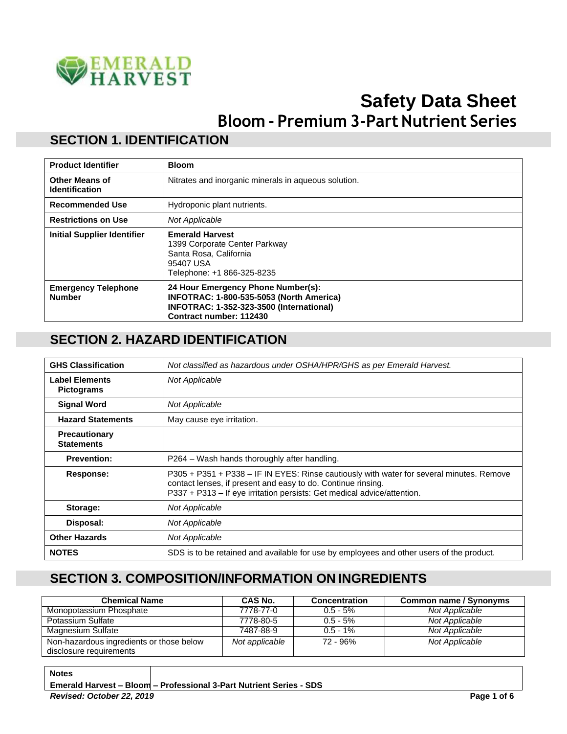

# **Safety Data Sheet Bloom - Premium 3-Part Nutrient Series**

### **SECTION 1. IDENTIFICATION**

| <b>Product Identifier</b>                      | <b>Bloom</b>                                                                                                                                                 |
|------------------------------------------------|--------------------------------------------------------------------------------------------------------------------------------------------------------------|
| <b>Other Means of</b><br><b>Identification</b> | Nitrates and inorganic minerals in aqueous solution.                                                                                                         |
| <b>Recommended Use</b>                         | Hydroponic plant nutrients.                                                                                                                                  |
| <b>Restrictions on Use</b>                     | <b>Not Applicable</b>                                                                                                                                        |
| <b>Initial Supplier Identifier</b>             | <b>Emerald Harvest</b><br>1399 Corporate Center Parkway<br>Santa Rosa, California<br>95407 USA<br>Telephone: +1 866-325-8235                                 |
| <b>Emergency Telephone</b><br><b>Number</b>    | 24 Hour Emergency Phone Number(s):<br><b>INFOTRAC: 1-800-535-5053 (North America)</b><br>INFOTRAC: 1-352-323-3500 (International)<br>Contract number: 112430 |

#### **SECTION 2. HAZARD IDENTIFICATION**

| <b>GHS Classification</b>                  | Not classified as hazardous under OSHA/HPR/GHS as per Emerald Harvest.                                                                                                                                                              |
|--------------------------------------------|-------------------------------------------------------------------------------------------------------------------------------------------------------------------------------------------------------------------------------------|
| <b>Label Elements</b><br><b>Pictograms</b> | Not Applicable                                                                                                                                                                                                                      |
| <b>Signal Word</b>                         | <b>Not Applicable</b>                                                                                                                                                                                                               |
| <b>Hazard Statements</b>                   | May cause eye irritation.                                                                                                                                                                                                           |
| <b>Precautionary</b><br><b>Statements</b>  |                                                                                                                                                                                                                                     |
| <b>Prevention:</b>                         | P264 – Wash hands thoroughly after handling.                                                                                                                                                                                        |
| Response:                                  | P305 + P351 + P338 - IF IN EYES: Rinse cautiously with water for several minutes. Remove<br>contact lenses, if present and easy to do. Continue rinsing.<br>P337 + P313 - If eye irritation persists: Get medical advice/attention. |
| Storage:                                   | <b>Not Applicable</b>                                                                                                                                                                                                               |
| Disposal:                                  | <b>Not Applicable</b>                                                                                                                                                                                                               |
| <b>Other Hazards</b>                       | Not Applicable                                                                                                                                                                                                                      |
| <b>NOTES</b>                               | SDS is to be retained and available for use by employees and other users of the product.                                                                                                                                            |

# **SECTION 3. COMPOSITION/INFORMATION ON INGREDIENTS**

| <b>Chemical Name</b>                     | CAS No.        | <b>Concentration</b> | Common name / Synonyms |
|------------------------------------------|----------------|----------------------|------------------------|
| Monopotassium Phosphate                  | 7778-77-0      | $0.5 - 5\%$          | Not Applicable         |
| Potassium Sulfate                        | 7778-80-5      | $0.5 - 5\%$          | Not Applicable         |
| Magnesium Sulfate                        | 7487-88-9      | $0.5 - 1\%$          | Not Applicable         |
| Non-hazardous ingredients or those below | Not applicable | 72 - 96%             | Not Applicable         |
| disclosure requirements                  |                |                      |                        |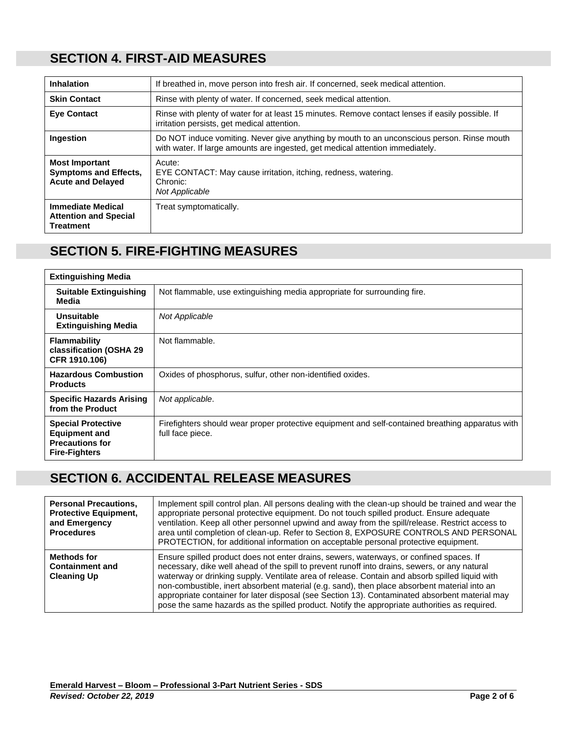# **SECTION 4. FIRST-AID MEASURES**

| <b>Inhalation</b>                                                                 | If breathed in, move person into fresh air. If concerned, seek medical attention.                                                                                           |
|-----------------------------------------------------------------------------------|-----------------------------------------------------------------------------------------------------------------------------------------------------------------------------|
| <b>Skin Contact</b>                                                               | Rinse with plenty of water. If concerned, seek medical attention.                                                                                                           |
| <b>Eye Contact</b>                                                                | Rinse with plenty of water for at least 15 minutes. Remove contact lenses if easily possible. If<br>irritation persists, get medical attention.                             |
| <b>Ingestion</b>                                                                  | Do NOT induce vomiting. Never give anything by mouth to an unconscious person. Rinse mouth<br>with water. If large amounts are ingested, get medical attention immediately. |
| <b>Most Important</b><br><b>Symptoms and Effects,</b><br><b>Acute and Delayed</b> | Acute:<br>EYE CONTACT: May cause irritation, itching, redness, watering.<br>Chronic:<br><b>Not Applicable</b>                                                               |
| <b>Immediate Medical</b><br><b>Attention and Special</b><br><b>Treatment</b>      | Treat symptomatically.                                                                                                                                                      |

#### **SECTION 5. FIRE-FIGHTING MEASURES**

| <b>Extinguishing Media</b>                                                                          |                                                                                                                      |
|-----------------------------------------------------------------------------------------------------|----------------------------------------------------------------------------------------------------------------------|
| <b>Suitable Extinguishing</b><br>Media                                                              | Not flammable, use extinguishing media appropriate for surrounding fire.                                             |
| Unsuitable<br><b>Extinguishing Media</b>                                                            | <b>Not Applicable</b>                                                                                                |
| <b>Flammability</b><br>classification (OSHA 29<br>CFR 1910.106)                                     | Not flammable.                                                                                                       |
| <b>Hazardous Combustion</b><br><b>Products</b>                                                      | Oxides of phosphorus, sulfur, other non-identified oxides.                                                           |
| <b>Specific Hazards Arising</b><br>from the Product                                                 | Not applicable.                                                                                                      |
| <b>Special Protective</b><br><b>Equipment and</b><br><b>Precautions for</b><br><b>Fire-Fighters</b> | Firefighters should wear proper protective equipment and self-contained breathing apparatus with<br>full face piece. |

# **SECTION 6. ACCIDENTAL RELEASE MEASURES**

| <b>Personal Precautions,</b><br><b>Protective Equipment,</b><br>and Emergency<br><b>Procedures</b> | Implement spill control plan. All persons dealing with the clean-up should be trained and wear the<br>appropriate personal protective equipment. Do not touch spilled product. Ensure adequate<br>ventilation. Keep all other personnel upwind and away from the spill/release. Restrict access to<br>area until completion of clean-up. Refer to Section 8, EXPOSURE CONTROLS AND PERSONAL<br>PROTECTION, for additional information on acceptable personal protective equipment.                                                                                                            |
|----------------------------------------------------------------------------------------------------|-----------------------------------------------------------------------------------------------------------------------------------------------------------------------------------------------------------------------------------------------------------------------------------------------------------------------------------------------------------------------------------------------------------------------------------------------------------------------------------------------------------------------------------------------------------------------------------------------|
| Methods for<br><b>Containment and</b><br><b>Cleaning Up</b>                                        | Ensure spilled product does not enter drains, sewers, waterways, or confined spaces. If<br>necessary, dike well ahead of the spill to prevent runoff into drains, sewers, or any natural<br>waterway or drinking supply. Ventilate area of release. Contain and absorb spilled liquid with<br>non-combustible, inert absorbent material (e.g. sand), then place absorbent material into an<br>appropriate container for later disposal (see Section 13). Contaminated absorbent material may<br>pose the same hazards as the spilled product. Notify the appropriate authorities as required. |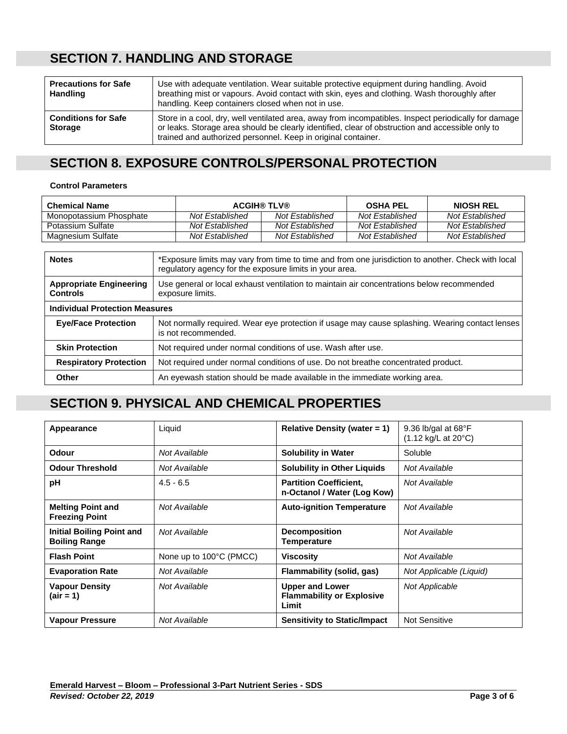#### **SECTION 7. HANDLING AND STORAGE**

| <b>Precautions for Safe</b><br><b>Handling</b> | Use with adequate ventilation. Wear suitable protective equipment during handling. Avoid<br>breathing mist or vapours. Avoid contact with skin, eyes and clothing. Wash thoroughly after<br>handling. Keep containers closed when not in use.                             |
|------------------------------------------------|---------------------------------------------------------------------------------------------------------------------------------------------------------------------------------------------------------------------------------------------------------------------------|
| <b>Conditions for Safe</b><br><b>Storage</b>   | Store in a cool, dry, well ventilated area, away from incompatibles. Inspect periodically for damage<br>or leaks. Storage area should be clearly identified, clear of obstruction and accessible only to<br>trained and authorized personnel. Keep in original container. |

## **SECTION 8. EXPOSURE CONTROLS/PERSONAL PROTECTION**

#### **Control Parameters**

| <b>Chemical Name</b>    | <b>ACGIH® TLV®</b> |                 | <b>OSHA PEL</b> | <b>NIOSH REL</b> |
|-------------------------|--------------------|-----------------|-----------------|------------------|
| Monopotassium Phosphate | Not Established    | Not Established | Not Established | Not Established  |
| Potassium Sulfate       | Not Established    | Not Established | Not Established | Not Established  |
| Magnesium Sulfate       | Not Established    | Not Established | Not Established | Not Established  |

| <b>Notes</b>                                      | *Exposure limits may vary from time to time and from one jurisdiction to another. Check with local<br>regulatory agency for the exposure limits in your area. |  |
|---------------------------------------------------|---------------------------------------------------------------------------------------------------------------------------------------------------------------|--|
| <b>Appropriate Engineering</b><br><b>Controls</b> | Use general or local exhaust ventilation to maintain air concentrations below recommended<br>exposure limits.                                                 |  |
| <b>Individual Protection Measures</b>             |                                                                                                                                                               |  |
| <b>Eye/Face Protection</b>                        | Not normally required. Wear eye protection if usage may cause splashing. Wearing contact lenses<br>is not recommended.                                        |  |
| <b>Skin Protection</b>                            | Not required under normal conditions of use. Wash after use.                                                                                                  |  |
| <b>Respiratory Protection</b>                     | Not required under normal conditions of use. Do not breathe concentrated product.                                                                             |  |
| Other                                             | An eyewash station should be made available in the immediate working area.                                                                                    |  |

# **SECTION 9. PHYSICAL AND CHEMICAL PROPERTIES**

| Appearance                                               | Liquid                  | Relative Density (water $= 1$ )                                     | 9.36 lb/gal at $68^{\circ}$ F<br>(1.12 kg/L at 20°C) |
|----------------------------------------------------------|-------------------------|---------------------------------------------------------------------|------------------------------------------------------|
| Odour                                                    | Not Available           | <b>Solubility in Water</b>                                          | Soluble                                              |
| <b>Odour Threshold</b>                                   | Not Available           | <b>Solubility in Other Liquids</b>                                  | Not Available                                        |
| рH                                                       | $4.5 - 6.5$             | <b>Partition Coefficient,</b><br>n-Octanol / Water (Log Kow)        | Not Available                                        |
| <b>Melting Point and</b><br><b>Freezing Point</b>        | Not Available           | <b>Auto-ignition Temperature</b>                                    | Not Available                                        |
| <b>Initial Boiling Point and</b><br><b>Boiling Range</b> | Not Available           | <b>Decomposition</b><br>Temperature                                 | Not Available                                        |
| <b>Flash Point</b>                                       | None up to 100°C (PMCC) | <b>Viscosity</b>                                                    | Not Available                                        |
| <b>Evaporation Rate</b>                                  | Not Available           | Flammability (solid, gas)                                           | Not Applicable (Liquid)                              |
| <b>Vapour Density</b><br>(air = 1)                       | Not Available           | <b>Upper and Lower</b><br><b>Flammability or Explosive</b><br>Limit | Not Applicable                                       |
| <b>Vapour Pressure</b>                                   | Not Available           | <b>Sensitivity to Static/Impact</b>                                 | <b>Not Sensitive</b>                                 |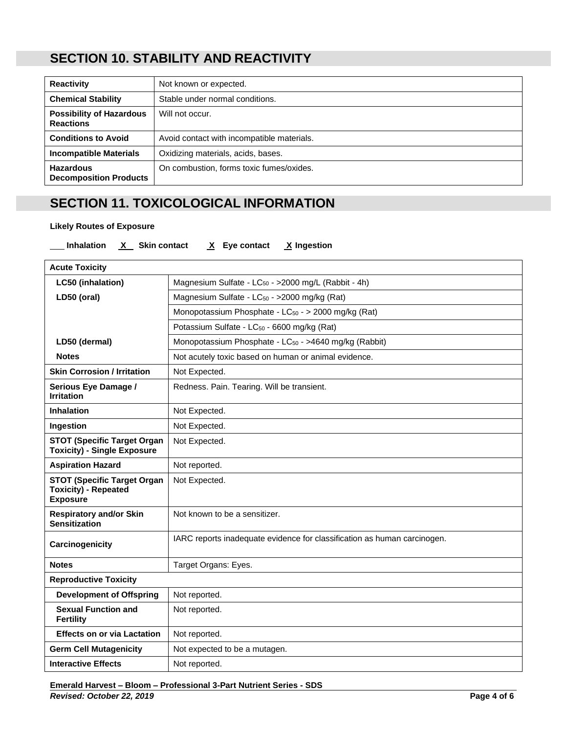# **SECTION 10. STABILITY AND REACTIVITY**

| <b>Reactivity</b>                                   | Not known or expected.                     |
|-----------------------------------------------------|--------------------------------------------|
| <b>Chemical Stability</b>                           | Stable under normal conditions.            |
| <b>Possibility of Hazardous</b><br><b>Reactions</b> | Will not occur.                            |
| <b>Conditions to Avoid</b>                          | Avoid contact with incompatible materials. |
| <b>Incompatible Materials</b>                       | Oxidizing materials, acids, bases.         |
| <b>Hazardous</b><br><b>Decomposition Products</b>   | On combustion, forms toxic fumes/oxides.   |

# **SECTION 11. TOXICOLOGICAL INFORMATION**

#### **Likely Routes of Exposure**

**Inhalation X Skin contact X Eye contact X Ingestion**

| <b>Acute Toxicity</b>                                                                |                                                                          |
|--------------------------------------------------------------------------------------|--------------------------------------------------------------------------|
| LC50 (inhalation)                                                                    | Magnesium Sulfate - LC <sub>50</sub> - > 2000 mg/L (Rabbit - 4h)         |
| LD50 (oral)                                                                          | Magnesium Sulfate - LC <sub>50</sub> - >2000 mg/kg (Rat)                 |
|                                                                                      | Monopotassium Phosphate - LC <sub>50</sub> - > 2000 mg/kg (Rat)          |
|                                                                                      | Potassium Sulfate - LC <sub>50</sub> - 6600 mg/kg (Rat)                  |
| LD50 (dermal)                                                                        | Monopotassium Phosphate - LC <sub>50</sub> - >4640 mg/kg (Rabbit)        |
| <b>Notes</b>                                                                         | Not acutely toxic based on human or animal evidence.                     |
| <b>Skin Corrosion / Irritation</b>                                                   | Not Expected.                                                            |
| Serious Eye Damage /<br><b>Irritation</b>                                            | Redness. Pain. Tearing. Will be transient.                               |
| <b>Inhalation</b>                                                                    | Not Expected.                                                            |
| Ingestion                                                                            | Not Expected.                                                            |
| <b>STOT (Specific Target Organ</b><br><b>Toxicity) - Single Exposure</b>             | Not Expected.                                                            |
| <b>Aspiration Hazard</b>                                                             | Not reported.                                                            |
| <b>STOT (Specific Target Organ</b><br><b>Toxicity) - Repeated</b><br><b>Exposure</b> | Not Expected.                                                            |
| <b>Respiratory and/or Skin</b><br><b>Sensitization</b>                               | Not known to be a sensitizer.                                            |
| Carcinogenicity                                                                      | IARC reports inadequate evidence for classification as human carcinogen. |
| <b>Notes</b>                                                                         | Target Organs: Eyes.                                                     |
| <b>Reproductive Toxicity</b>                                                         |                                                                          |
| <b>Development of Offspring</b>                                                      | Not reported.                                                            |
| <b>Sexual Function and</b><br><b>Fertility</b>                                       | Not reported.                                                            |
| <b>Effects on or via Lactation</b>                                                   | Not reported.                                                            |
| <b>Germ Cell Mutagenicity</b>                                                        | Not expected to be a mutagen.                                            |
| <b>Interactive Effects</b>                                                           | Not reported.                                                            |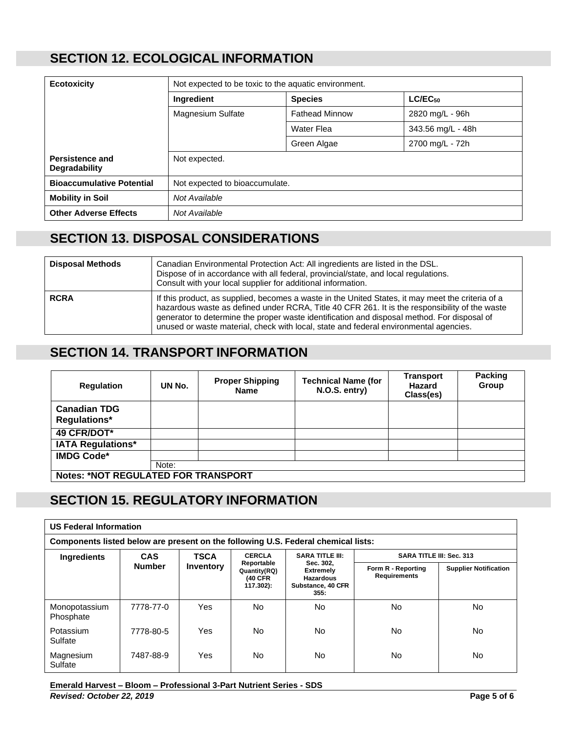### **SECTION 12. ECOLOGICAL INFORMATION**

| <b>Ecotoxicity</b>                      | Not expected to be toxic to the aquatic environment. |                       |                   |  |  |
|-----------------------------------------|------------------------------------------------------|-----------------------|-------------------|--|--|
|                                         | Ingredient                                           | <b>Species</b>        | $LC/EC_{50}$      |  |  |
|                                         | <b>Magnesium Sulfate</b>                             | <b>Fathead Minnow</b> | 2820 mg/L - 96h   |  |  |
|                                         |                                                      | Water Flea            | 343.56 mg/L - 48h |  |  |
|                                         |                                                      | Green Algae           | 2700 mg/L - 72h   |  |  |
| Persistence and<br><b>Degradability</b> | Not expected.                                        |                       |                   |  |  |
| <b>Bioaccumulative Potential</b>        | Not expected to bioaccumulate.                       |                       |                   |  |  |
| <b>Mobility in Soil</b>                 | Not Available                                        |                       |                   |  |  |
| <b>Other Adverse Effects</b>            | Not Available                                        |                       |                   |  |  |

#### **SECTION 13. DISPOSAL CONSIDERATIONS**

| <b>Disposal Methods</b> | Canadian Environmental Protection Act: All ingredients are listed in the DSL.<br>Dispose of in accordance with all federal, provincial/state, and local regulations.<br>Consult with your local supplier for additional information.                                                                                                                                                        |
|-------------------------|---------------------------------------------------------------------------------------------------------------------------------------------------------------------------------------------------------------------------------------------------------------------------------------------------------------------------------------------------------------------------------------------|
| <b>RCRA</b>             | If this product, as supplied, becomes a waste in the United States, it may meet the criteria of a<br>hazardous waste as defined under RCRA, Title 40 CFR 261. It is the responsibility of the waste<br>generator to determine the proper waste identification and disposal method. For disposal of<br>unused or waste material, check with local, state and federal environmental agencies. |

#### **SECTION 14. TRANSPORT INFORMATION**

| <b>Regulation</b>                          | UN No. | <b>Proper Shipping</b><br><b>Name</b> | <b>Technical Name (for</b><br>N.O.S. entry) | Transport<br>Hazard<br>Class(es) | Packing<br>Group |
|--------------------------------------------|--------|---------------------------------------|---------------------------------------------|----------------------------------|------------------|
| <b>Canadian TDG</b><br><b>Regulations*</b> |        |                                       |                                             |                                  |                  |
| 49 CFR/DOT*                                |        |                                       |                                             |                                  |                  |
| <b>IATA Regulations*</b>                   |        |                                       |                                             |                                  |                  |
| <b>IMDG Code*</b>                          |        |                                       |                                             |                                  |                  |
|                                            | Note:  |                                       |                                             |                                  |                  |
| <b>Notes: *NOT REGULATED FOR TRANSPORT</b> |        |                                       |                                             |                                  |                  |

# **SECTION 15. REGULATORY INFORMATION**

| <b>US Federal Information</b>                                                     |               |             |                                                     |                                                                                                          |                                           |                              |
|-----------------------------------------------------------------------------------|---------------|-------------|-----------------------------------------------------|----------------------------------------------------------------------------------------------------------|-------------------------------------------|------------------------------|
| Components listed below are present on the following U.S. Federal chemical lists: |               |             |                                                     |                                                                                                          |                                           |                              |
| Ingredients                                                                       | <b>CAS</b>    | <b>TSCA</b> | <b>CERCLA</b>                                       | <b>SARA TITLE III:</b><br>Sec. 302,<br><b>Extremely</b><br><b>Hazardous</b><br>Substance, 40 CFR<br>355. | <b>SARA TITLE III: Sec. 313</b>           |                              |
|                                                                                   | <b>Number</b> | Inventory   | Reportable<br>Quantity(RQ)<br>(40 CFR)<br>117.302): |                                                                                                          | Form R - Reporting<br><b>Requirements</b> | <b>Supplier Notification</b> |
| Monopotassium<br>Phosphate                                                        | 7778-77-0     | <b>Yes</b>  | N <sub>o</sub>                                      | No.                                                                                                      | <b>No</b>                                 | No                           |
| Potassium<br>Sulfate                                                              | 7778-80-5     | <b>Yes</b>  | No.                                                 | <b>No</b>                                                                                                | <b>No</b>                                 | No                           |
| Magnesium<br>Sulfate                                                              | 7487-88-9     | <b>Yes</b>  | No.                                                 | <b>No</b>                                                                                                | No                                        | No                           |